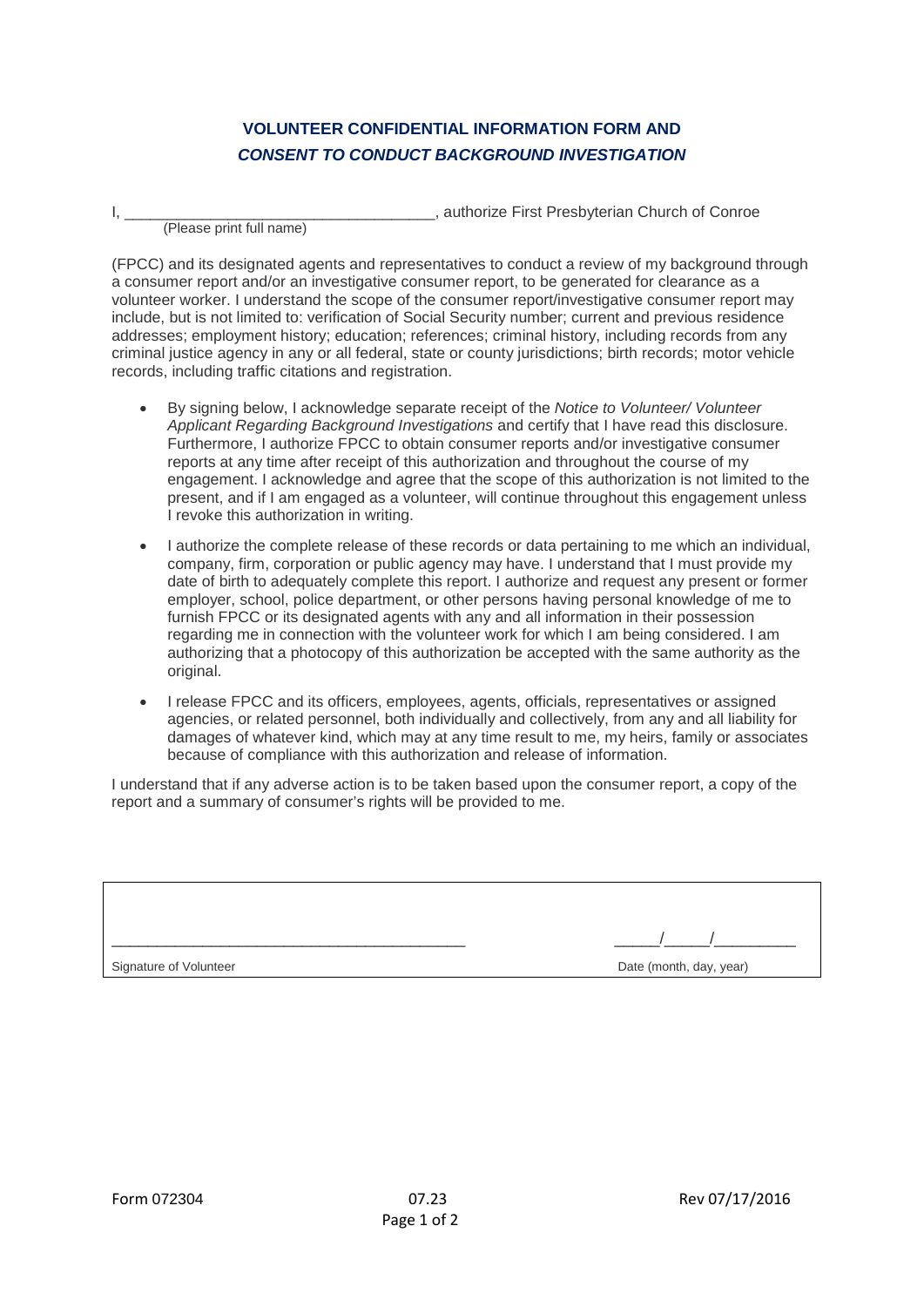## **VOLUNTEER CONFIDENTIAL INFORMATION FORM AND** *CONSENT TO CONDUCT BACKGROUND INVESTIGATION*

(Please print full name)

I, \_\_\_\_\_\_\_\_\_\_\_\_\_\_\_\_\_\_\_\_\_\_\_\_\_\_\_\_\_\_\_\_\_\_\_\_, authorize First Presbyterian Church of Conroe

(FPCC) and its designated agents and representatives to conduct a review of my background through a consumer report and/or an investigative consumer report, to be generated for clearance as a volunteer worker. I understand the scope of the consumer report/investigative consumer report may include, but is not limited to: verification of Social Security number; current and previous residence addresses; employment history; education; references; criminal history, including records from any criminal justice agency in any or all federal, state or county jurisdictions; birth records; motor vehicle records, including traffic citations and registration.

- By signing below, I acknowledge separate receipt of the *Notice to Volunteer/ Volunteer Applicant Regarding Background Investigations* and certify that I have read this disclosure. Furthermore, I authorize FPCC to obtain consumer reports and/or investigative consumer reports at any time after receipt of this authorization and throughout the course of my engagement. I acknowledge and agree that the scope of this authorization is not limited to the present, and if I am engaged as a volunteer, will continue throughout this engagement unless I revoke this authorization in writing.
- I authorize the complete release of these records or data pertaining to me which an individual, company, firm, corporation or public agency may have. I understand that I must provide my date of birth to adequately complete this report. I authorize and request any present or former employer, school, police department, or other persons having personal knowledge of me to furnish FPCC or its designated agents with any and all information in their possession regarding me in connection with the volunteer work for which I am being considered. I am authorizing that a photocopy of this authorization be accepted with the same authority as the original.
- I release FPCC and its officers, employees, agents, officials, representatives or assigned agencies, or related personnel, both individually and collectively, from any and all liability for damages of whatever kind, which may at any time result to me, my heirs, family or associates because of compliance with this authorization and release of information.

I understand that if any adverse action is to be taken based upon the consumer report, a copy of the report and a summary of consumer's rights will be provided to me.

| Signature of Volunteer | Date (month, day, year) |
|------------------------|-------------------------|